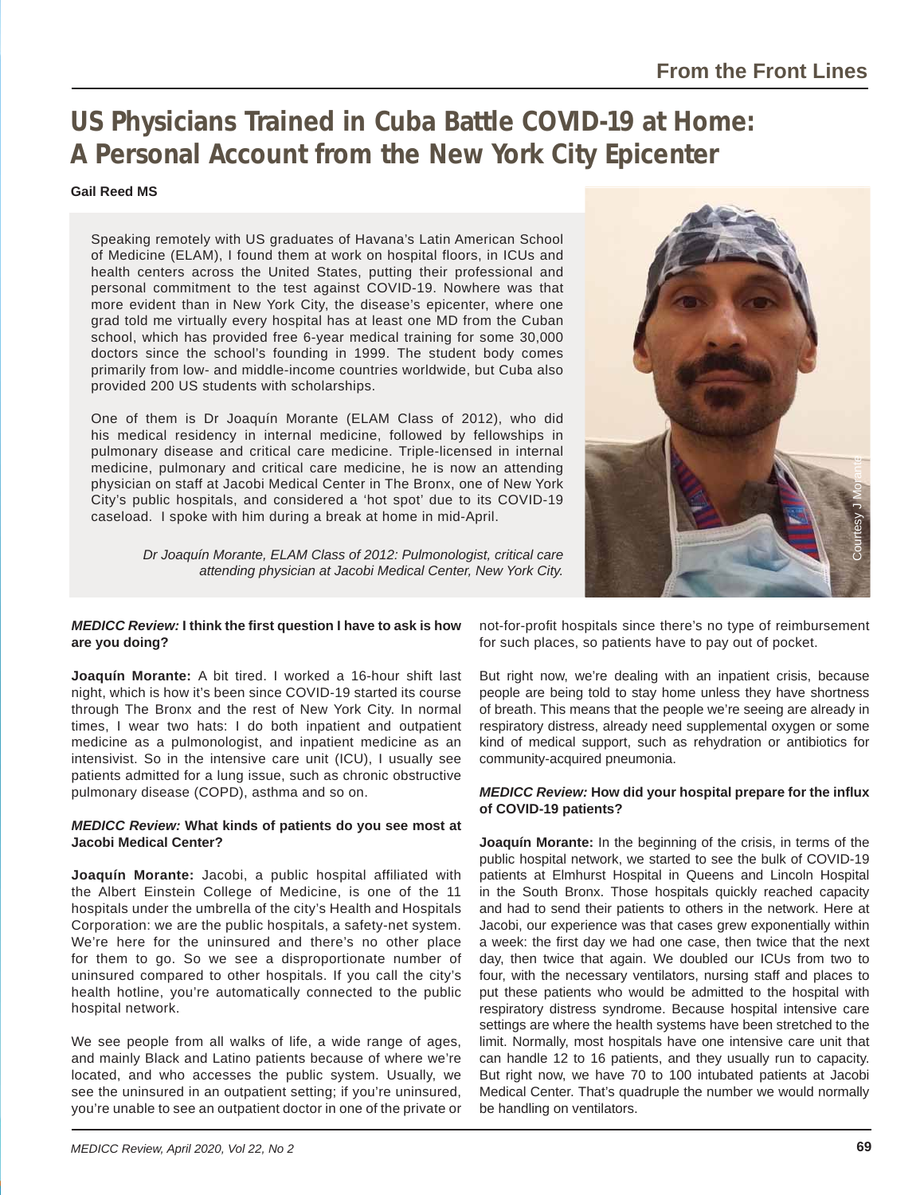# **US Physicians Trained in Cuba Battle COVID-19 at Home: A Personal Account from the New York City Epicenter**

## **Gail Reed MS**

Speaking remotely with US graduates of Havana's Latin American School of Medicine (ELAM), I found them at work on hospital floors, in ICUs and health centers across the United States, putting their professional and personal commitment to the test against COVID-19. Nowhere was that more evident than in New York City, the disease's epicenter, where one grad told me virtually every hospital has at least one MD from the Cuban school, which has provided free 6-year medical training for some 30,000 doctors since the school's founding in 1999. The student body comes primarily from low- and middle-income countries worldwide, but Cuba also provided 200 US students with scholarships.

One of them is Dr Joaquín Morante (ELAM Class of 2012), who did his medical residency in internal medicine, followed by fellowships in pulmonary disease and critical care medicine. Triple-licensed in internal medicine, pulmonary and critical care medicine, he is now an attending physician on staff at Jacobi Medical Center in The Bronx, one of New York City's public hospitals, and considered a 'hot spot' due to its COVID-19 caseload. I spoke with him during a break at home in mid-April.

> *Dr Joaquín Morante, ELAM Class of 2012: Pulmonologist, critical care attending physician at Jacobi Medical Center, New York City.*



## *MEDICC Review:* **I think the fi rst question I have to ask is how**  are you doing?

**Joaquín Morante:** A bit tired. I worked a 16-hour shift last night, which is how it's been since COVID-19 started its course through The Bronx and the rest of New York City. In normal times, I wear two hats: I do both inpatient and outpatient medicine as a pulmonologist, and inpatient medicine as an intensivist. So in the intensive care unit (ICU), I usually see patients admitted for a lung issue, such as chronic obstructive pulmonary disease (COPD), asthma and so on.

## *MEDICC Review:* **What kinds of patients do you see most at Jacobi Medical Center?**

**Joaquín Morante:** Jacobi, a public hospital affiliated with the Albert Einstein College of Medicine, is one of the 11 hospitals under the umbrella of the city's Health and Hospitals Corporation: we are the public hospitals, a safety-net system. We're here for the uninsured and there's no other place for them to go. So we see a disproportionate number of uninsured compared to other hospitals. If you call the city's health hotline, you're automatically connected to the public hospital network.

We see people from all walks of life, a wide range of ages, and mainly Black and Latino patients because of where we're located, and who accesses the public system. Usually, we see the uninsured in an outpatient setting; if you're uninsured, you're unable to see an outpatient doctor in one of the private or not-for-profit hospitals since there's no type of reimbursement for such places, so patients have to pay out of pocket.

But right now, we're dealing with an inpatient crisis, because people are being told to stay home unless they have shortness of breath. This means that the people we're seeing are already in respiratory distress, already need supplemental oxygen or some kind of medical support, such as rehydration or antibiotics for community-acquired pneumonia.

## *MEDICC Review:* **How did your hospital prepare for the infl ux of COVID-19 patients?**

**Joaquín Morante:** In the beginning of the crisis, in terms of the public hospital network, we started to see the bulk of COVID-19 patients at Elmhurst Hospital in Queens and Lincoln Hospital in the South Bronx. Those hospitals quickly reached capacity and had to send their patients to others in the network. Here at Jacobi, our experience was that cases grew exponentially within a week: the first day we had one case, then twice that the next day, then twice that again. We doubled our ICUs from two to four, with the necessary ventilators, nursing staff and places to put these patients who would be admitted to the hospital with respiratory distress syndrome. Because hospital intensive care settings are where the health systems have been stretched to the limit. Normally, most hospitals have one intensive care unit that can handle 12 to 16 patients, and they usually run to capacity. But right now, we have 70 to 100 intubated patients at Jacobi Medical Center. That's quadruple the number we would normally be handling on ventilators.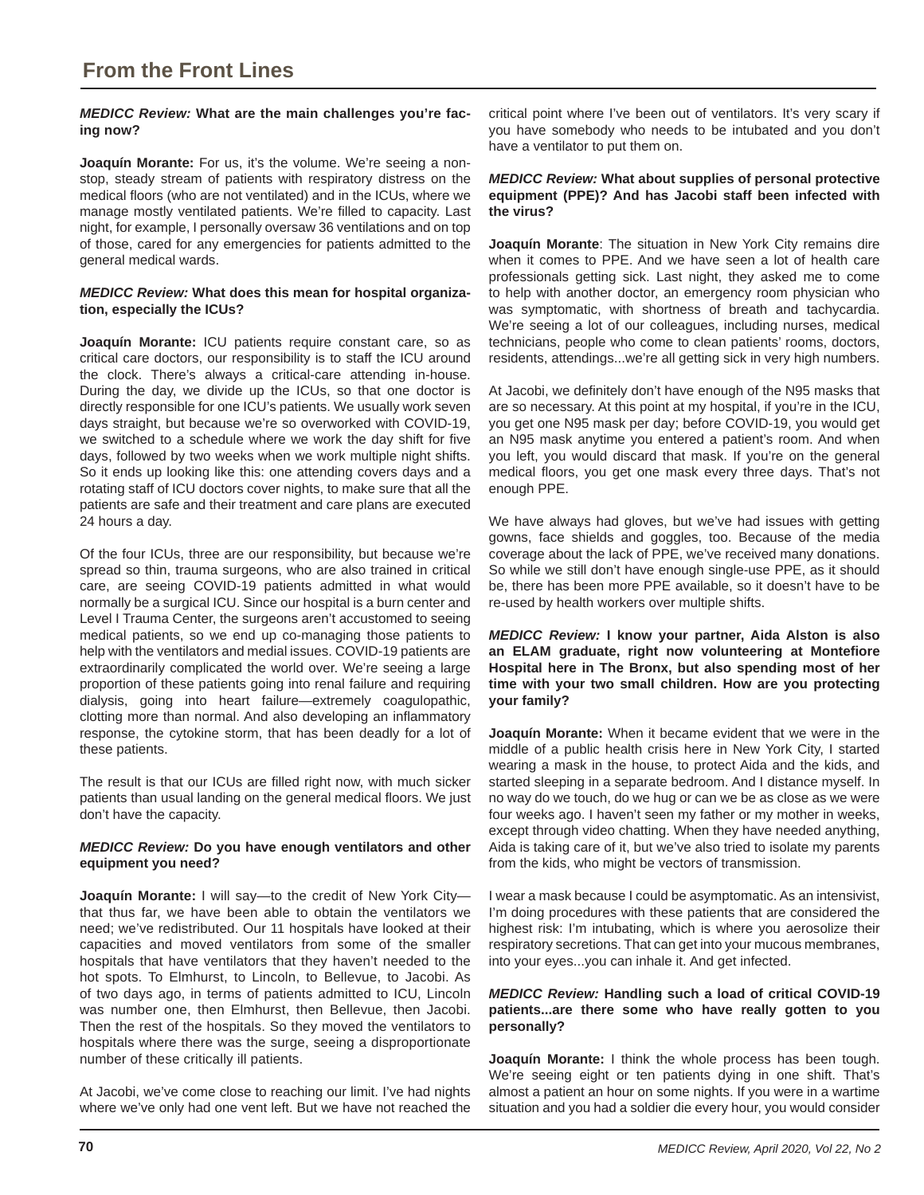## *MEDICC Review:* **What are the main challenges you're facing now?**

**Joaquín Morante:** For us, it's the volume. We're seeing a nonstop, steady stream of patients with respiratory distress on the medical floors (who are not ventilated) and in the ICUs, where we manage mostly ventilated patients. We're filled to capacity. Last night, for example, I personally oversaw 36 ventilations and on top of those, cared for any emergencies for patients admitted to the general medical wards.

## *MEDICC Review:* **What does this mean for hospital organization, especially the ICUs?**

**Joaquín Morante:** ICU patients require constant care, so as critical care doctors, our responsibility is to staff the ICU around the clock. There's always a critical-care attending in-house. During the day, we divide up the ICUs, so that one doctor is directly responsible for one ICU's patients. We usually work seven days straight, but because we're so overworked with COVID-19, we switched to a schedule where we work the day shift for five days, followed by two weeks when we work multiple night shifts. So it ends up looking like this: one attending covers days and a rotating staff of ICU doctors cover nights, to make sure that all the patients are safe and their treatment and care plans are executed 24 hours a day.

Of the four ICUs, three are our responsibility, but because we're spread so thin, trauma surgeons, who are also trained in critical care, are seeing COVID-19 patients admitted in what would normally be a surgical ICU. Since our hospital is a burn center and Level I Trauma Center, the surgeons aren't accustomed to seeing medical patients, so we end up co-managing those patients to help with the ventilators and medial issues. COVID-19 patients are extraordinarily complicated the world over. We're seeing a large proportion of these patients going into renal failure and requiring dialysis, going into heart failure—extremely coagulopathic, clotting more than normal. And also developing an inflammatory response, the cytokine storm, that has been deadly for a lot of these patients.

The result is that our ICUs are filled right now, with much sicker patients than usual landing on the general medical floors. We just don't have the capacity.

## *MEDICC Review:* **Do you have enough ventilators and other equipment you need?**

**Joaquín Morante:** I will say—to the credit of New York City that thus far, we have been able to obtain the ventilators we need; we've redistributed. Our 11 hospitals have looked at their capacities and moved ventilators from some of the smaller hospitals that have ventilators that they haven't needed to the hot spots. To Elmhurst, to Lincoln, to Bellevue, to Jacobi. As of two days ago, in terms of patients admitted to ICU, Lincoln was number one, then Elmhurst, then Bellevue, then Jacobi. Then the rest of the hospitals. So they moved the ventilators to hospitals where there was the surge, seeing a disproportionate number of these critically ill patients.

At Jacobi, we've come close to reaching our limit. I've had nights where we've only had one vent left. But we have not reached the

critical point where I've been out of ventilators. It's very scary if you have somebody who needs to be intubated and you don't have a ventilator to put them on.

## *MEDICC Review:* **What about supplies of personal protective equipment (PPE)? And has Jacobi staff been infected with the virus?**

**Joaquín Morante**: The situation in New York City remains dire when it comes to PPE. And we have seen a lot of health care professionals getting sick. Last night, they asked me to come to help with another doctor, an emergency room physician who was symptomatic, with shortness of breath and tachycardia. We're seeing a lot of our colleagues, including nurses, medical technicians, people who come to clean patients' rooms, doctors, residents, attendings...we're all getting sick in very high numbers.

At Jacobi, we definitely don't have enough of the N95 masks that are so necessary. At this point at my hospital, if you're in the ICU, you get one N95 mask per day; before COVID-19, you would get an N95 mask anytime you entered a patient's room. And when you left, you would discard that mask. If you're on the general medical floors, you get one mask every three days. That's not enough PPE.

We have always had gloves, but we've had issues with getting gowns, face shields and goggles, too. Because of the media coverage about the lack of PPE, we've received many donations. So while we still don't have enough single-use PPE, as it should be, there has been more PPE available, so it doesn't have to be re-used by health workers over multiple shifts.

*MEDICC Review:* **I know your partner, Aida Alston is also**  an ELAM graduate, right now volunteering at Montefiore **Hospital here in The Bronx, but also spending most of her time with your two small children. How are you protecting your family?**

**Joaquín Morante:** When it became evident that we were in the middle of a public health crisis here in New York City, I started wearing a mask in the house, to protect Aida and the kids, and started sleeping in a separate bedroom. And I distance myself. In no way do we touch, do we hug or can we be as close as we were four weeks ago. I haven't seen my father or my mother in weeks, except through video chatting. When they have needed anything, Aida is taking care of it, but we've also tried to isolate my parents from the kids, who might be vectors of transmission.

I wear a mask because I could be asymptomatic. As an intensivist, I'm doing procedures with these patients that are considered the highest risk: I'm intubating, which is where you aerosolize their respiratory secretions. That can get into your mucous membranes, into your eyes...you can inhale it. And get infected.

## *MEDICC Review:* **Handling such a load of critical COVID-19 patients...are there some who have really gotten to you personally?**

**Joaquín Morante:** I think the whole process has been tough. We're seeing eight or ten patients dying in one shift. That's almost a patient an hour on some nights. If you were in a wartime situation and you had a soldier die every hour, you would consider